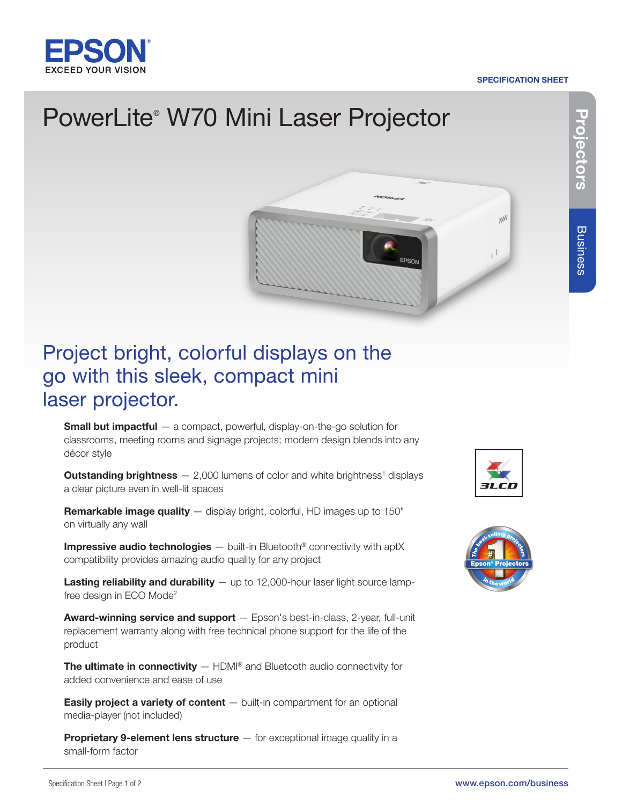

#### SPECIFICATION SHEET

# PowerLite® W70 Mini Laser Projector



## Project bright, colorful displays on the go with this sleek, compact mini laser projector.

**Small but impactful**  $-$  a compact, powerful, display-on-the-go solution for classrooms, meeting rooms and signage projects; modern design blends into any décor style

**Outstanding brightness**  $- 2,000$  lumens of color and white brightness<sup>1</sup> displays a clear picture even in well-lit spaces

**Remarkable image quality**  $-$  display bright, colorful, HD images up to 150" on virtually any wall

Impressive audio technologies - built-in Bluetooth<sup>®</sup> connectivity with aptX compatibility provides amazing audio quality for any project

**Lasting reliability and durability**  $-$  up to 12,000-hour laser light source lampfree design in ECO Mode2

Award-winning service and support - Epson's best-in-class, 2-year, full-unit replacement warranty along with free technical phone support for the life of the product

**The ultimate in connectivity**  $-$  HDMI<sup>®</sup> and Bluetooth audio connectivity for added convenience and ease of use

**Easily project a variety of content**  $-$  built-in compartment for an optional media-player (not included)

Proprietary 9-element lens structure - for exceptional image quality in a small-form factor





Projectors

Projectors

Business

**Business**